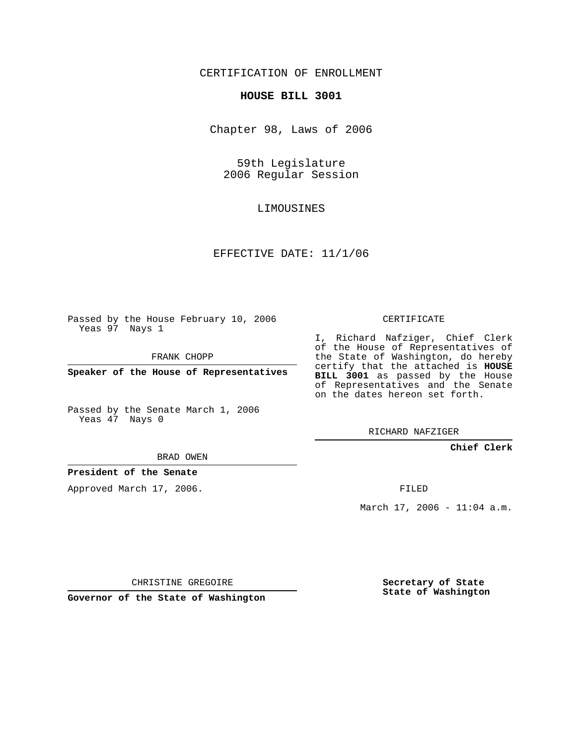## CERTIFICATION OF ENROLLMENT

#### **HOUSE BILL 3001**

Chapter 98, Laws of 2006

59th Legislature 2006 Regular Session

LIMOUSINES

### EFFECTIVE DATE: 11/1/06

Passed by the House February 10, 2006 Yeas 97 Nays 1

FRANK CHOPP

**Speaker of the House of Representatives**

Passed by the Senate March 1, 2006 Yeas 47 Nays 0

## CERTIFICATE

I, Richard Nafziger, Chief Clerk of the House of Representatives of the State of Washington, do hereby certify that the attached is **HOUSE BILL 3001** as passed by the House of Representatives and the Senate on the dates hereon set forth.

RICHARD NAFZIGER

### **Chief Clerk**

BRAD OWEN

### **President of the Senate**

Approved March 17, 2006.

FILED

March  $17, 2006 - 11:04$  a.m.

CHRISTINE GREGOIRE

**Governor of the State of Washington**

**Secretary of State State of Washington**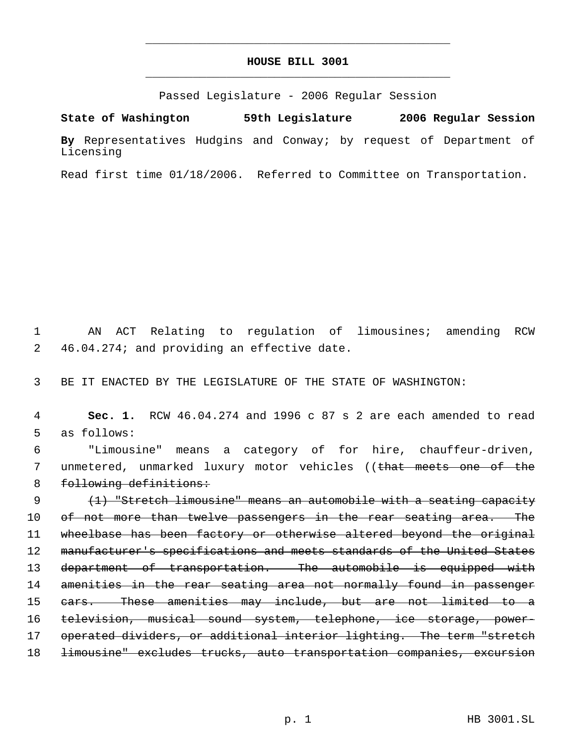# **HOUSE BILL 3001** \_\_\_\_\_\_\_\_\_\_\_\_\_\_\_\_\_\_\_\_\_\_\_\_\_\_\_\_\_\_\_\_\_\_\_\_\_\_\_\_\_\_\_\_\_

\_\_\_\_\_\_\_\_\_\_\_\_\_\_\_\_\_\_\_\_\_\_\_\_\_\_\_\_\_\_\_\_\_\_\_\_\_\_\_\_\_\_\_\_\_

Passed Legislature - 2006 Regular Session

**State of Washington 59th Legislature 2006 Regular Session By** Representatives Hudgins and Conway; by request of Department of Licensing

Read first time 01/18/2006. Referred to Committee on Transportation.

 1 AN ACT Relating to regulation of limousines; amending RCW 2 46.04.274; and providing an effective date.

3 BE IT ENACTED BY THE LEGISLATURE OF THE STATE OF WASHINGTON:

 4 **Sec. 1.** RCW 46.04.274 and 1996 c 87 s 2 are each amended to read 5 as follows:

 6 "Limousine" means a category of for hire, chauffeur-driven, 7 unmetered, unmarked luxury motor vehicles ((<del>that meets one of the</del> 8 following definitions:

 9 (1) "Stretch limousine" means an automobile with a seating capacity 10 of not more than twelve passengers in the rear seating area. The 11 wheelbase has been factory or otherwise altered beyond the original 12 manufacturer's specifications and meets standards of the United States 13 department of transportation. The automobile is equipped with 14 amenities in the rear seating area not normally found in passenger 15 cars. These amenities may include, but are not limited to a 16 television, musical sound system, telephone, ice storage, power-17 operated dividers, or additional interior lighting. The term "stretch 18 <del>limousine" excludes trucks, auto transportation companies, excursion</del>